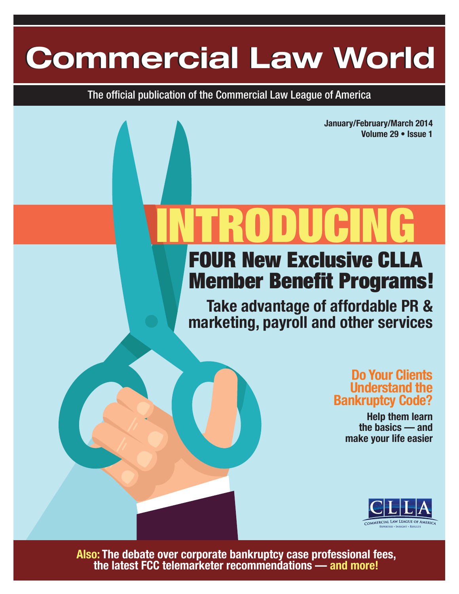# **Commercial Law World Commercial Law World**

The official publication of the Commercial Law League of America

**January/February/March 2014 Volume 29 • Issue 1**

# FOUR New Exclusive CLLA INTRODUCING

# Member Benefit Programs!

**Take advantage of affordable PR & marketing, payroll and other services**

## **Do Your Clients Understand the Bankruptcy Code?**

**Help them learn the basics — and make your life easier**



**Also: The debate over corporate bankruptcy case professional fees, the latest FCC telemarketer recommendations — and more!**